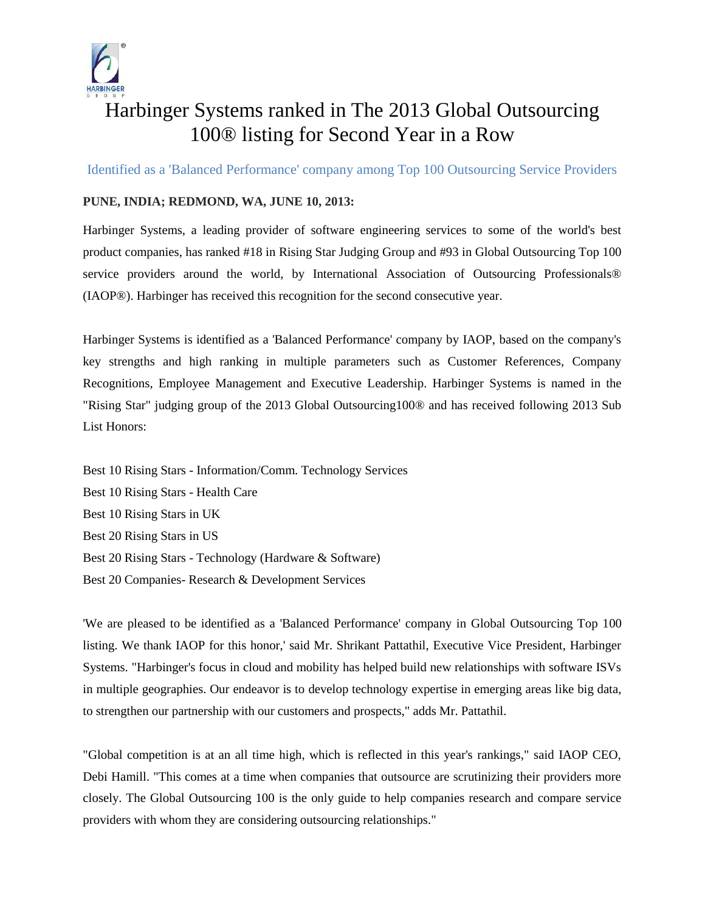

## Harbinger Systems ranked in The 2013 Global Outsourcing 100® listing for Second Year in a Row

Identified as a 'Balanced Performance' company among Top 100 Outsourcing Service Providers

## **PUNE, INDIA; REDMOND, WA, JUNE 10, 2013:**

Harbinger Systems, a leading provider of software engineering services to some of the world's best product companies, has ranked #18 in Rising Star Judging Group and #93 in Global Outsourcing Top 100 service providers around the world, by International Association of Outsourcing Professionals® (IAOP®). Harbinger has received this recognition for the second consecutive year.

Harbinger Systems is identified as a 'Balanced Performance' company by IAOP, based on the company's key strengths and high ranking in multiple parameters such as Customer References, Company Recognitions, Employee Management and Executive Leadership. Harbinger Systems is named in the "Rising Star" judging group of the 2013 Global Outsourcing100® and has received following 2013 Sub List Honors:

Best 10 Rising Stars - Information/Comm. Technology Services Best 10 Rising Stars - Health Care Best 10 Rising Stars in UK Best 20 Rising Stars in US Best 20 Rising Stars - Technology (Hardware & Software) Best 20 Companies- Research & Development Services

'We are pleased to be identified as a 'Balanced Performance' company in Global Outsourcing Top 100 listing. We thank IAOP for this honor,' said Mr. Shrikant Pattathil, Executive Vice President, Harbinger Systems. "Harbinger's focus in cloud and mobility has helped build new relationships with software ISVs in multiple geographies. Our endeavor is to develop technology expertise in emerging areas like big data, to strengthen our partnership with our customers and prospects," adds Mr. Pattathil.

"Global competition is at an all time high, which is reflected in this year's rankings," said IAOP CEO, Debi Hamill. "This comes at a time when companies that outsource are scrutinizing their providers more closely. The Global Outsourcing 100 is the only guide to help companies research and compare service providers with whom they are considering outsourcing relationships."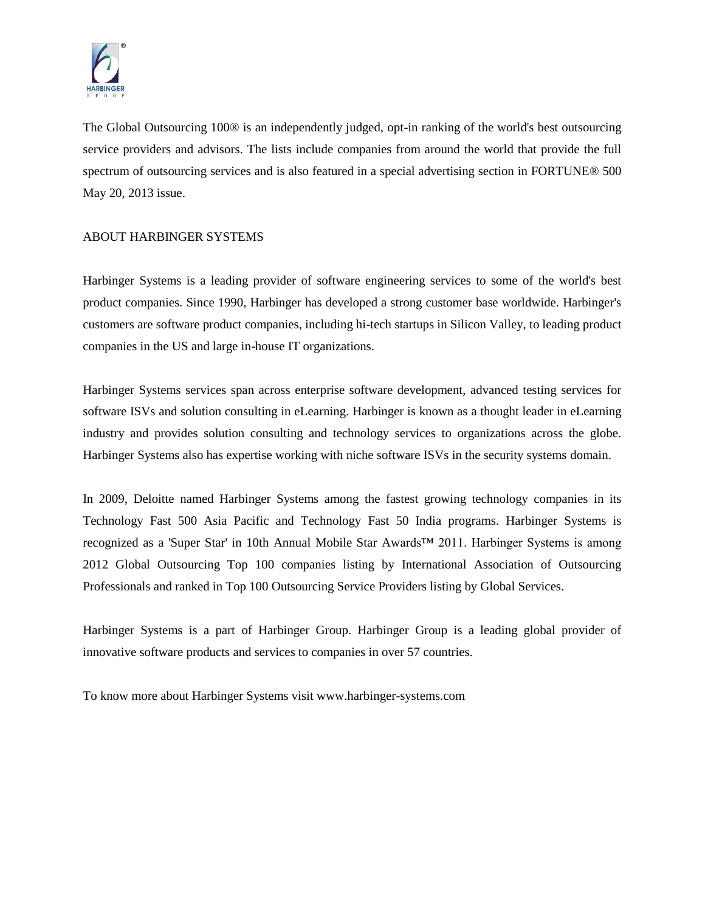

The Global Outsourcing 100® is an independently judged, opt-in ranking of the world's best outsourcing service providers and advisors. The lists include companies from around the world that provide the full spectrum of outsourcing services and is also featured in a special advertising section in FORTUNE® 500 May 20, 2013 issue.

## ABOUT HARBINGER SYSTEMS

Harbinger Systems is a leading provider of software engineering services to some of the world's best product companies. Since 1990, Harbinger has developed a strong customer base worldwide. Harbinger's customers are software product companies, including hi-tech startups in Silicon Valley, to leading product companies in the US and large in-house IT organizations.

Harbinger Systems services span across enterprise software development, advanced testing services for software ISVs and solution consulting in eLearning. Harbinger is known as a thought leader in eLearning industry and provides solution consulting and technology services to organizations across the globe. Harbinger Systems also has expertise working with niche software ISVs in the security systems domain.

In 2009, Deloitte named Harbinger Systems among the fastest growing technology companies in its Technology Fast 500 Asia Pacific and Technology Fast 50 India programs. Harbinger Systems is recognized as a 'Super Star' in 10th Annual Mobile Star Awards™ 2011. Harbinger Systems is among 2012 Global Outsourcing Top 100 companies listing by International Association of Outsourcing Professionals and ranked in Top 100 Outsourcing Service Providers listing by Global Services.

Harbinger Systems is a part of Harbinger Group. Harbinger Group is a leading global provider of innovative software products and services to companies in over 57 countries.

To know more about Harbinger Systems visit www.harbinger-systems.com